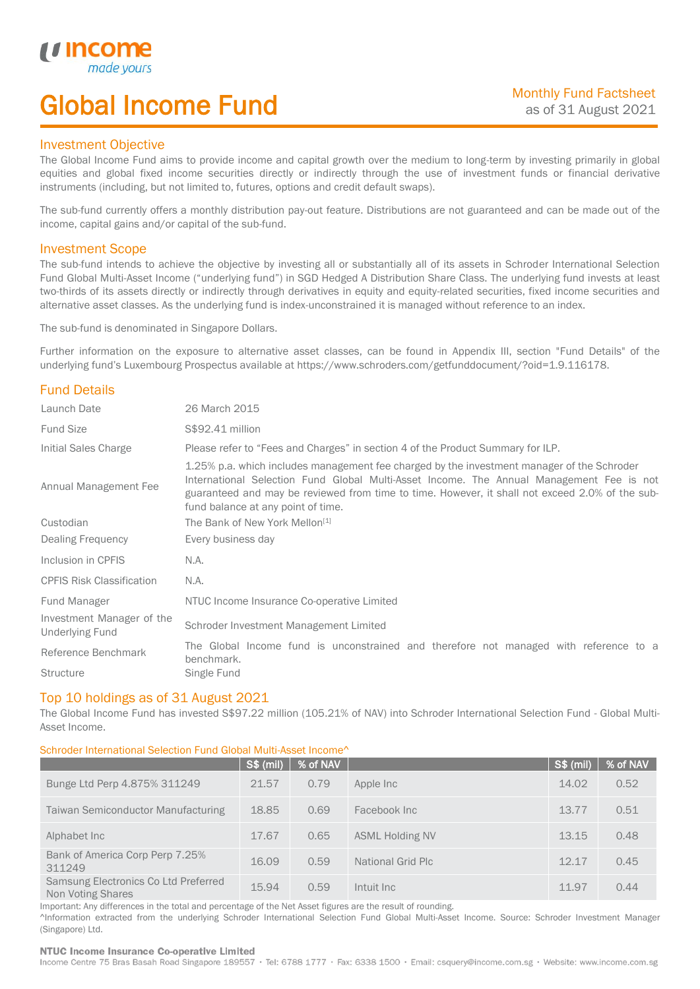# Global Income Fund

### Investment Objective

u incor

I

The Global Income Fund aims to provide income and capital growth over the medium to long-term by investing primarily in global equities and global fixed income securities directly or indirectly through the use of investment funds or financial derivative instruments (including, but not limited to, futures, options and credit default swaps).

The sub-fund currently offers a monthly distribution pay-out feature. Distributions are not guaranteed and can be made out of the income, capital gains and/or capital of the sub-fund.

### Investment Scope

The sub-fund intends to achieve the objective by investing all or substantially all of its assets in Schroder International Selection Fund Global Multi-Asset Income ("underlying fund") in SGD Hedged A Distribution Share Class. The underlying fund invests at least two-thirds of its assets directly or indirectly through derivatives in equity and equity-related securities, fixed income securities and alternative asset classes. As the underlying fund is index-unconstrained it is managed without reference to an index.

The sub-fund is denominated in Singapore Dollars.

Further information on the exposure to alternative asset classes, can be found in Appendix III, section "Fund Details" of the underlying fund's Luxembourg Prospectus available at https://www.schroders.com/getfunddocument/?oid=1.9.116178.

### Fund Details

| Launch Date                                         | 26 March 2015                                                                                                                                                                                                                                                                                                                   |  |  |  |
|-----------------------------------------------------|---------------------------------------------------------------------------------------------------------------------------------------------------------------------------------------------------------------------------------------------------------------------------------------------------------------------------------|--|--|--|
| <b>Fund Size</b>                                    | S\$92.41 million                                                                                                                                                                                                                                                                                                                |  |  |  |
| Initial Sales Charge                                | Please refer to "Fees and Charges" in section 4 of the Product Summary for ILP.                                                                                                                                                                                                                                                 |  |  |  |
| Annual Management Fee                               | 1.25% p.a. which includes management fee charged by the investment manager of the Schroder<br>International Selection Fund Global Multi-Asset Income. The Annual Management Fee is not<br>guaranteed and may be reviewed from time to time. However, it shall not exceed 2.0% of the sub-<br>fund balance at any point of time. |  |  |  |
| Custodian                                           | The Bank of New York Mellon <sup>[1]</sup>                                                                                                                                                                                                                                                                                      |  |  |  |
| Dealing Frequency                                   | Every business day                                                                                                                                                                                                                                                                                                              |  |  |  |
| Inclusion in CPFIS                                  | N.A.                                                                                                                                                                                                                                                                                                                            |  |  |  |
| <b>CPFIS Risk Classification</b>                    | N.A.                                                                                                                                                                                                                                                                                                                            |  |  |  |
| Fund Manager                                        | NTUC Income Insurance Co-operative Limited                                                                                                                                                                                                                                                                                      |  |  |  |
| Investment Manager of the<br><b>Underlying Fund</b> | Schroder Investment Management Limited                                                                                                                                                                                                                                                                                          |  |  |  |
| Reference Benchmark                                 | The Global Income fund is unconstrained and therefore not managed with reference to a<br>benchmark.                                                                                                                                                                                                                             |  |  |  |
| <b>Structure</b>                                    | Single Fund                                                                                                                                                                                                                                                                                                                     |  |  |  |

### Top 10 holdings as of 31 August 2021

The Global Income Fund has invested S\$97.22 million (105.21% of NAV) into Schroder International Selection Fund - Global Multi-Asset Income.

### Schroder International Selection Fund Global Multi-Asset Income^

|                                                           | S\$ (mil) | % of NAV |                        | S\$ (mil) | % of NAV |
|-----------------------------------------------------------|-----------|----------|------------------------|-----------|----------|
| Bunge Ltd Perp 4.875% 311249                              | 21.57     | 0.79     | Apple Inc              | 14.02     | 0.52     |
| <b>Taiwan Semiconductor Manufacturing</b>                 | 18.85     | 0.69     | Facebook Inc           | 13.77     | 0.51     |
| Alphabet Inc.                                             | 17.67     | 0.65     | <b>ASML Holding NV</b> | 13.15     | 0.48     |
| Bank of America Corp Perp 7.25%<br>311249                 | 16.09     | 0.59     | National Grid Plc      | 12.17     | 0.45     |
| Samsung Electronics Co Ltd Preferred<br>Non Voting Shares | 15.94     | 0.59     | Intuit Inc             | 11.97     | 0.44     |

Important: Any differences in the total and percentage of the Net Asset figures are the result of rounding.

^Information extracted from the underlying Schroder International Selection Fund Global Multi-Asset Income. Source: Schroder Investment Manager (Singapore) Ltd.

#### NTUC Income Insurance Co-operative Limited

Income Centre 75 Bras Basah Road Singapore 189557 · Tel: 6788 1777 · Fax: 6338 1500 · Email: csquery@income.com.sg · Website: www.income.com.sg